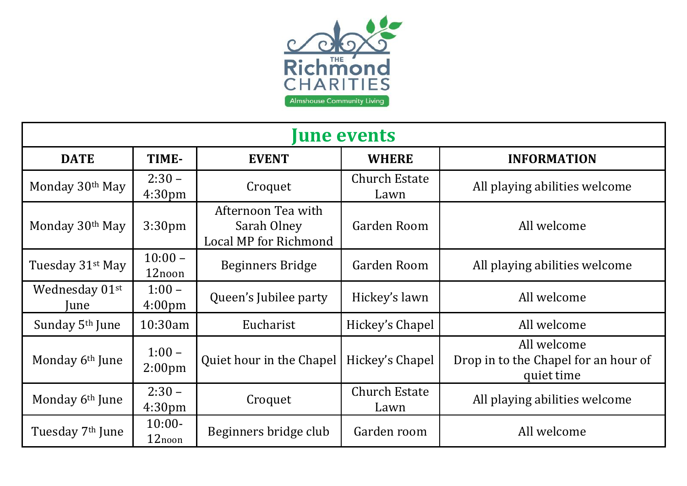

| <b>June events</b>           |                                |                                                            |                              |                                                                   |
|------------------------------|--------------------------------|------------------------------------------------------------|------------------------------|-------------------------------------------------------------------|
| <b>DATE</b>                  | TIME-                          | <b>EVENT</b>                                               | <b>WHERE</b>                 | <b>INFORMATION</b>                                                |
| Monday 30th May              | $2:30 -$<br>4:30 <sub>pm</sub> | Croquet                                                    | <b>Church Estate</b><br>Lawn | All playing abilities welcome                                     |
| Monday 30th May              | 3:30 <sub>pm</sub>             | Afternoon Tea with<br>Sarah Olney<br>Local MP for Richmond | Garden Room                  | All welcome                                                       |
| Tuesday 31 <sup>st</sup> May | $10:00 -$<br>12noon            | <b>Beginners Bridge</b>                                    | Garden Room                  | All playing abilities welcome                                     |
| Wednesday 01st<br>June       | $1:00 -$<br>4:00 <sub>pm</sub> | Queen's Jubilee party                                      | Hickey's lawn                | All welcome                                                       |
| Sunday 5 <sup>th</sup> June  | 10:30am                        | Eucharist                                                  | Hickey's Chapel              | All welcome                                                       |
| Monday 6 <sup>th</sup> June  | $1:00 -$<br>2:00 <sub>pm</sub> | Quiet hour in the Chapel                                   | Hickey's Chapel              | All welcome<br>Drop in to the Chapel for an hour of<br>quiet time |
| Monday 6 <sup>th</sup> June  | $2:30 -$<br>4:30 <sub>pm</sub> | Croquet                                                    | <b>Church Estate</b><br>Lawn | All playing abilities welcome                                     |
| Tuesday 7 <sup>th</sup> June | $10:00-$<br>12noon             | Beginners bridge club                                      | Garden room                  | All welcome                                                       |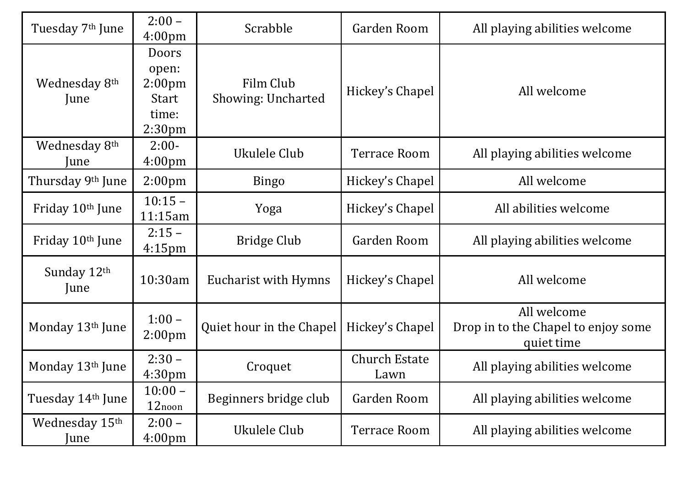| Tuesday 7 <sup>th</sup> June      | $2:00 -$<br>4:00 <sub>pm</sub>                                                             | Scrabble                        | Garden Room                  | All playing abilities welcome                                    |
|-----------------------------------|--------------------------------------------------------------------------------------------|---------------------------------|------------------------------|------------------------------------------------------------------|
| Wednesday 8 <sup>th</sup><br>June | <b>Doors</b><br>open:<br>2:00 <sub>pm</sub><br><b>Start</b><br>time:<br>2:30 <sub>pm</sub> | Film Club<br>Showing: Uncharted | Hickey's Chapel              | All welcome                                                      |
| Wednesday 8th<br>June             | $2:00-$<br>4:00 <sub>pm</sub>                                                              | Ukulele Club                    | <b>Terrace Room</b>          | All playing abilities welcome                                    |
| Thursday 9th June                 | 2:00 <sub>pm</sub>                                                                         | <b>Bingo</b>                    | Hickey's Chapel              | All welcome                                                      |
| Friday 10 <sup>th</sup> June      | $10:15 -$<br>11:15am                                                                       | Yoga                            | Hickey's Chapel              | All abilities welcome                                            |
| Friday 10th June                  | $2:15-$<br>$4:15$ pm                                                                       | Bridge Club                     | Garden Room                  | All playing abilities welcome                                    |
| Sunday 12th<br>June               | 10:30am                                                                                    | Eucharist with Hymns            | Hickey's Chapel              | All welcome                                                      |
| Monday 13th June                  | $1:00 -$<br>2:00 <sub>pm</sub>                                                             | Quiet hour in the Chapel        | Hickey's Chapel              | All welcome<br>Drop in to the Chapel to enjoy some<br>quiet time |
| Monday 13th June                  | $2:30 -$<br>4:30 <sub>pm</sub>                                                             | Croquet                         | <b>Church Estate</b><br>Lawn | All playing abilities welcome                                    |
| Tuesday 14th June                 | $10:00 -$<br>12noon                                                                        | Beginners bridge club           | Garden Room                  | All playing abilities welcome                                    |
| Wednesday 15th<br>June            | $2:00 -$<br>4:00 <sub>pm</sub>                                                             | Ukulele Club                    | <b>Terrace Room</b>          | All playing abilities welcome                                    |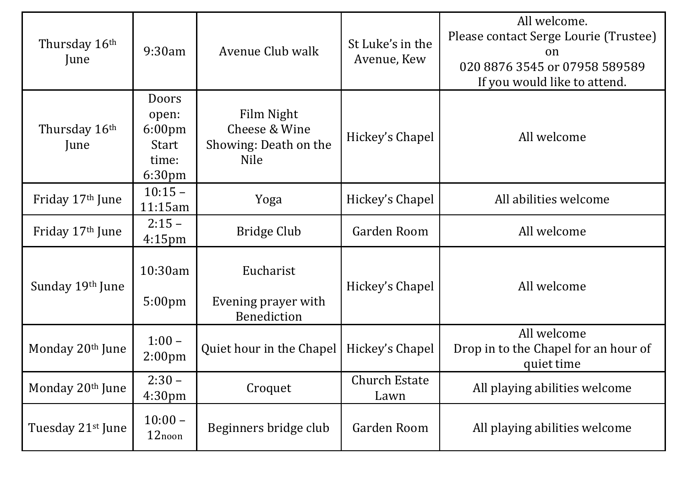| Thursday 16th<br>June         | 9:30am                                                                                   | Avenue Club walk                                                    | St Luke's in the<br>Avenue, Kew | All welcome.<br>Please contact Serge Lourie (Trustee)<br>on<br>020 8876 3545 or 07958 589589<br>If you would like to attend. |
|-------------------------------|------------------------------------------------------------------------------------------|---------------------------------------------------------------------|---------------------------------|------------------------------------------------------------------------------------------------------------------------------|
| Thursday 16th<br>June         | <b>Doors</b><br>open:<br>$6:00 \text{pm}$<br><b>Start</b><br>time:<br>6:30 <sub>pm</sub> | Film Night<br>Cheese & Wine<br>Showing: Death on the<br><b>Nile</b> | Hickey's Chapel                 | All welcome                                                                                                                  |
| Friday 17 <sup>th</sup> June  | $10:15 -$<br>11:15am                                                                     | Yoga                                                                | Hickey's Chapel                 | All abilities welcome                                                                                                        |
| Friday 17 <sup>th</sup> June  | $2:15 -$<br>4:15 <sub>pm</sub>                                                           | Bridge Club                                                         | Garden Room                     | All welcome                                                                                                                  |
| Sunday 19th June              | 10:30am<br>5:00 <sub>pm</sub>                                                            | Eucharist<br>Evening prayer with<br><b>Benediction</b>              | Hickey's Chapel                 | All welcome                                                                                                                  |
| Monday 20th June              | $1:00 -$<br>2:00 <sub>pm</sub>                                                           | Quiet hour in the Chapel                                            | Hickey's Chapel                 | All welcome<br>Drop in to the Chapel for an hour of<br>quiet time                                                            |
| Monday 20 <sup>th</sup> June  | $2:30 -$<br>4:30pm                                                                       | Croquet                                                             | <b>Church Estate</b><br>Lawn    | All playing abilities welcome                                                                                                |
| Tuesday 21 <sup>st</sup> June | $10:00 -$<br>12noon                                                                      | Beginners bridge club                                               | Garden Room                     | All playing abilities welcome                                                                                                |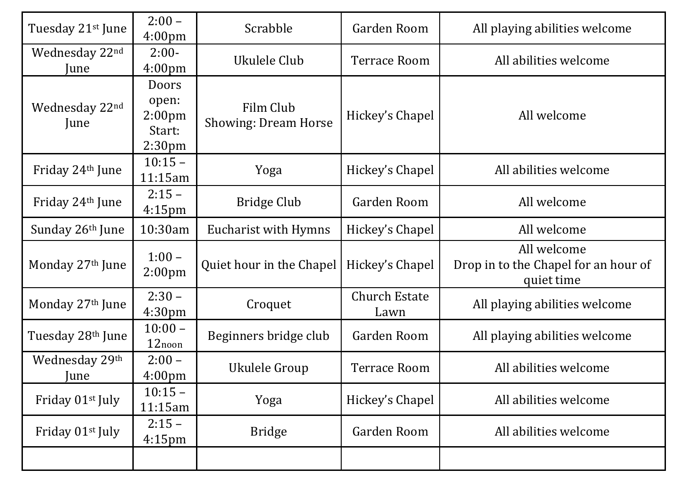| Tuesday 21 <sup>st</sup> June | $2:00 -$<br>4:00 <sub>pm</sub>                                              | Scrabble                                 | Garden Room                  | All playing abilities welcome                                     |
|-------------------------------|-----------------------------------------------------------------------------|------------------------------------------|------------------------------|-------------------------------------------------------------------|
| Wednesday 22nd<br>June        | $2:00-$<br>4:00 <sub>pm</sub>                                               | Ukulele Club                             | Terrace Room                 | All abilities welcome                                             |
| Wednesday 22nd<br>June        | <b>Doors</b><br>open:<br>2:00 <sub>pm</sub><br>Start:<br>2:30 <sub>pm</sub> | Film Club<br><b>Showing: Dream Horse</b> | Hickey's Chapel              | All welcome                                                       |
| Friday 24th June              | $10:15 -$<br>11:15am                                                        | Yoga                                     | Hickey's Chapel              | All abilities welcome                                             |
| Friday 24 <sup>th</sup> June  | $2:15 -$<br>$4:15$ pm                                                       | <b>Bridge Club</b>                       | Garden Room                  | All welcome                                                       |
| Sunday 26th June              | 10:30am                                                                     | Eucharist with Hymns                     | Hickey's Chapel              | All welcome                                                       |
| Monday 27th June              | $1:00 -$<br>2:00 <sub>pm</sub>                                              | Quiet hour in the Chapel                 | Hickey's Chapel              | All welcome<br>Drop in to the Chapel for an hour of<br>quiet time |
| Monday 27th June              | $2:30-$<br>4:30 <sub>pm</sub>                                               | Croquet                                  | <b>Church Estate</b><br>Lawn | All playing abilities welcome                                     |
| Tuesday 28th June             | $10:00 -$<br>12noon                                                         | Beginners bridge club                    | Garden Room                  | All playing abilities welcome                                     |
| Wednesday 29th<br>June        | $2:00 -$<br>4:00pm                                                          | Ukulele Group                            | <b>Terrace Room</b>          | All abilities welcome                                             |
| Friday 01st July              | $10:15 -$<br>11:15am                                                        | Yoga                                     | Hickey's Chapel              | All abilities welcome                                             |
| Friday 01st July              | $2:15 -$<br>$4:15$ pm                                                       | <b>Bridge</b>                            | Garden Room                  | All abilities welcome                                             |
|                               |                                                                             |                                          |                              |                                                                   |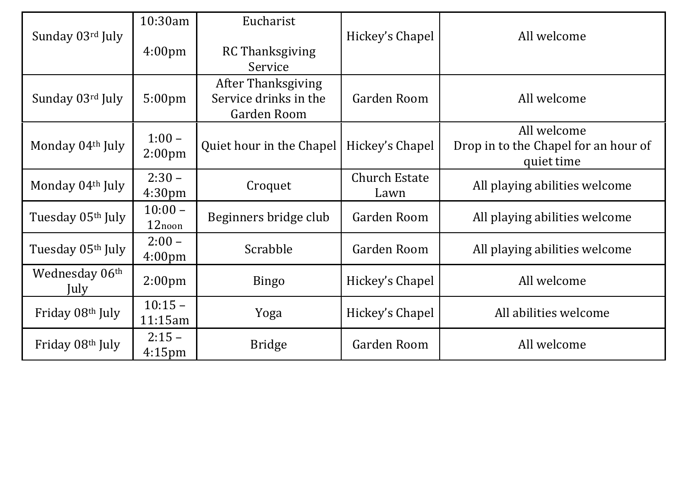| Sunday 03rd July       | 10:30am<br>4:00 <sub>pm</sub>  | Eucharist<br><b>RC Thanksgiving</b><br>Service                    | Hickey's Chapel              | All welcome                                                       |
|------------------------|--------------------------------|-------------------------------------------------------------------|------------------------------|-------------------------------------------------------------------|
| Sunday 03rd July       | 5:00 <sub>pm</sub>             | <b>After Thanksgiving</b><br>Service drinks in the<br>Garden Room | Garden Room                  | All welcome                                                       |
| Monday 04th July       | $1:00 -$<br>2:00 <sub>pm</sub> | Quiet hour in the Chapel                                          | Hickey's Chapel              | All welcome<br>Drop in to the Chapel for an hour of<br>quiet time |
| Monday 04th July       | $2:30 -$<br>4:30 <sub>pm</sub> | Croquet                                                           | <b>Church Estate</b><br>Lawn | All playing abilities welcome                                     |
| Tuesday 05th July      | $10:00 -$<br>12noon            | Beginners bridge club                                             | Garden Room                  | All playing abilities welcome                                     |
| Tuesday 05th July      | $2:00 -$<br>4:00 <sub>pm</sub> | Scrabble                                                          | Garden Room                  | All playing abilities welcome                                     |
| Wednesday 06th<br>July | 2:00 <sub>pm</sub>             | <b>Bingo</b>                                                      | Hickey's Chapel              | All welcome                                                       |
| Friday 08th July       | $10:15 -$<br>11:15am           | Yoga                                                              | Hickey's Chapel              | All abilities welcome                                             |
| Friday 08th July       | $2:15-$<br>$4:15$ pm           | <b>Bridge</b>                                                     | Garden Room                  | All welcome                                                       |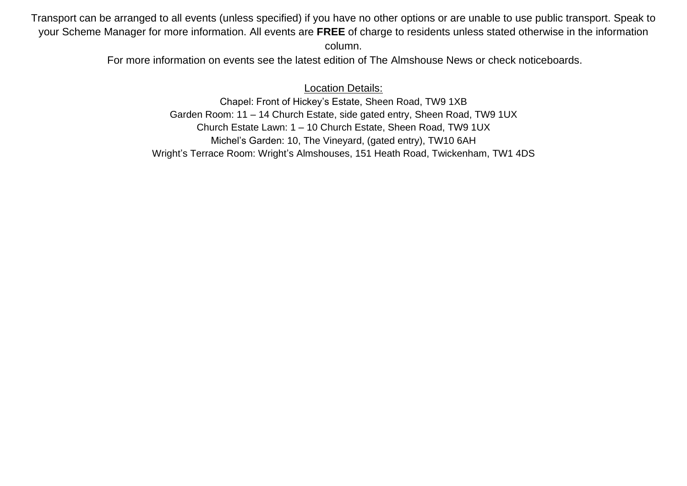Transport can be arranged to all events (unless specified) if you have no other options or are unable to use public transport. Speak to your Scheme Manager for more information. All events are **FREE** of charge to residents unless stated otherwise in the information column.

For more information on events see the latest edition of The Almshouse News or check noticeboards.

## Location Details:

Chapel: Front of Hickey's Estate, Sheen Road, TW9 1XB Garden Room: 11 – 14 Church Estate, side gated entry, Sheen Road, TW9 1UX Church Estate Lawn: 1 – 10 Church Estate, Sheen Road, TW9 1UX Michel's Garden: 10, The Vineyard, (gated entry), TW10 6AH Wright's Terrace Room: Wright's Almshouses, 151 Heath Road, Twickenham, TW1 4DS